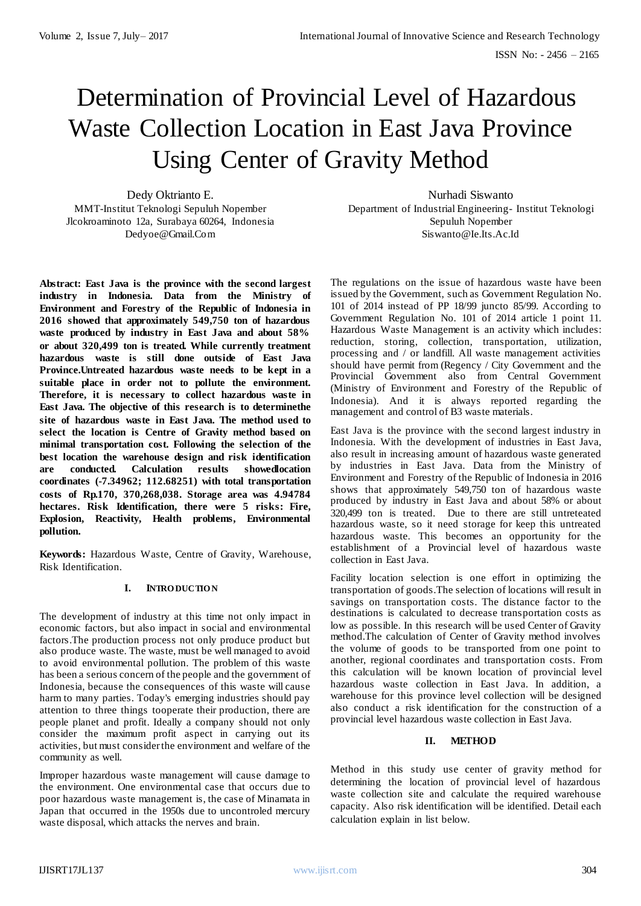# Determination of Provincial Level of Hazardous Waste Collection Location in East Java Province Using Center of Gravity Method

Dedy Oktrianto E. MMT-Institut Teknologi Sepuluh Nopember Jlcokroaminoto 12a, Surabaya 60264, Indonesia Dedyoe@Gmail.Com

**Abstract: East Java is the province with the second largest industry in Indonesia. Data from the Ministry of Environment and Forestry of the Republic of Indonesia in 2016 showed that approximately 549,750 ton of hazardous waste produced by industry in East Java and about 58% or about 320,499 ton is treated. While currently treatment hazardous waste is still done outside of East Java Province.Untreated hazardous waste needs to be kept in a suitable place in order not to pollute the environment. Therefore, it is necessary to collect hazardous waste in East Java. The objective of this research is to determinethe site of hazardous waste in East Java. The method used to select the location is Centre of Gravity method based on minimal transportation cost. Following the selection of the best location the warehouse design and risk identification are conducted. Calculation results showedlocation coordinates (-7.34962; 112.68251) with total transportation costs of Rp.170, 370,268,038. Storage area was 4.94784 hectares. Risk Identification, there were 5 risks: Fire, Explosion, Reactivity, Health problems, Environmental pollution.**

**Keywords:** Hazardous Waste, Centre of Gravity, Warehouse, Risk Identification.

# **I. INTRO DUCTIO N**

The development of industry at this time not only impact in economic factors, but also impact in social and environmental factors.The production process not only produce product but also produce waste. The waste, must be well managed to avoid to avoid environmental pollution. The problem of this waste has been a serious concern of the people and the government of Indonesia, because the consequences of this waste will cause harm to many parties. Today's emerging industries should pay attention to three things tooperate their production, there are people planet and profit. Ideally a company should not only consider the maximum profit aspect in carrying out its activities, but must consider the environment and welfare of the community as well.

Improper hazardous waste management will cause damage to the environment. One environmental case that occurs due to poor hazardous waste management is, the case of Minamata in Japan that occurred in the 1950s due to uncontroled mercury waste disposal, which attacks the nerves and brain.

Nurhadi Siswanto Department of Industrial Engineering- Institut Teknologi Sepuluh Nopember Siswanto@Ie.Its.Ac.Id

The regulations on the issue of hazardous waste have been issued by the Government, such as Government Regulation No. 101 of 2014 instead of PP 18/99 juncto 85/99. According to Government Regulation No. 101 of 2014 article 1 point 11. Hazardous Waste Management is an activity which includes: reduction, storing, collection, transportation, utilization, processing and / or landfill. All waste management activities should have permit from (Regency / City Government and the Provincial Government also from Central Government (Ministry of Environment and Forestry of the Republic of Indonesia). And it is always reported regarding the management and control of B3 waste materials.

East Java is the province with the second largest industry in Indonesia. With the development of industries in East Java, also result in increasing amount of hazardous waste generated by industries in East Java. Data from the Ministry of Environment and Forestry of the Republic of Indonesia in 2016 shows that approximately 549,750 ton of hazardous waste produced by industry in East Java and about 58% or about 320,499 ton is treated. Due to there are still untreteated hazardous waste, so it need storage for keep this untreated hazardous waste. This becomes an opportunity for the establishment of a Provincial level of hazardous waste collection in East Java.

Facility location selection is one effort in optimizing the transportation of goods.The selection of locations will result in savings on transportation costs. The distance factor to the destinations is calculated to decrease transportation costs as low as possible. In this research will be used Center of Gravity method.The calculation of Center of Gravity method involves the volume of goods to be transported from one point to another, regional coordinates and transportation costs. From this calculation will be known location of provincial level hazardous waste collection in East Java. In addition, a warehouse for this province level collection will be designed also conduct a risk identification for the construction of a provincial level hazardous waste collection in East Java.

#### **II. METHOD**

Method in this study use center of gravity method for determining the location of provincial level of hazardous waste collection site and calculate the required warehouse capacity. Also risk identification will be identified. Detail each calculation explain in list below.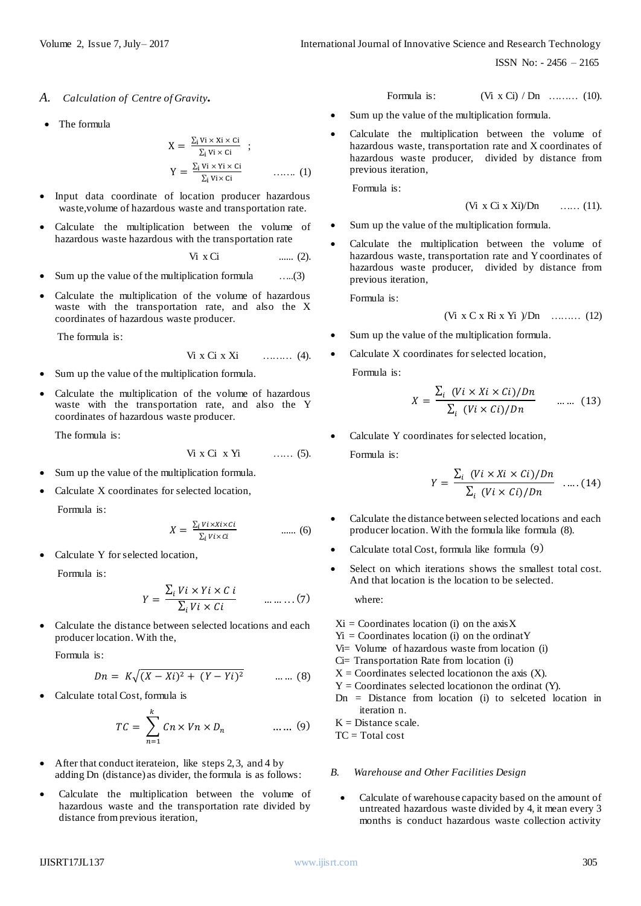ISSN No: - 2456 – 2165

- *A. Calculation of Centre of Gravity.*
- The formula

$$
X = \frac{\sum_{i} vi \times xi \times ci}{\sum_{i} vi \times ci} ;
$$
  
\n
$$
Y = \frac{\sum_{i} vi \times yi \times ci}{\sum_{i} vi \times ci} \qquad \qquad \dots \dots \quad (1)
$$

- Input data coordinate of location producer hazardous waste,volume of hazardous waste and transportation rate.
- Calculate the multiplication between the volume of hazardous waste hazardous with the transportation rate

$$
\text{Vi } \times \text{Ci} \qquad \qquad \dots \dots \text{ (2)}.
$$

- Sum up the value of the multiplication formula …..(3)
- Calculate the multiplication of the volume of hazardous waste with the transportation rate, and also the X coordinates of hazardous waste producer.

The formula is:

$$
Vi X Ci X Xi
$$
 (4).

- Sum up the value of the multiplication formula.
- Calculate the multiplication of the volume of hazardous waste with the transportation rate, and also the Y coordinates of hazardous waste producer.

The formula is:

$$
Vi X Ci X Yi \qquad \qquad \ldots \qquad (5).
$$

- Sum up the value of the multiplication formula.
- Calculate X coordinates for selected location,

Formula is:

$$
X = \frac{\sum_{i} \text{V} i \times \text{X} i \times \text{C} i}{\sum_{i} \text{V} i \times \text{C} i} \qquad \qquad \dots \dots \tag{6}
$$

Calculate Y for selected location,

Formula is:

$$
Y = \frac{\sum_{i} Vi \times Yi \times Ci}{\sum_{i} Vi \times Ci} \qquad \dots \dots \dots (7)
$$

 Calculate the distance between selected locations and each producer location. With the,

Formula is:

$$
Dn = K\sqrt{(X - Xi)^2 + (Y - Yi)^2} \qquad \dots \dots \tag{8}
$$

Calculate total Cost, formula is

$$
TC = \sum_{n=1}^{k} Cn \times Vn \times D_n \qquad \qquad \dots \dots (9)
$$

- After that conduct iterateion, like steps 2, 3, and 4 by adding Dn (distance) as divider, the formula is as follows:
- Calculate the multiplication between the volume of hazardous waste and the transportation rate divided by distance from previous iteration,

Formula is: 
$$
(Vi \times Ci) / Dn
$$
 ....... (10).

- Sum up the value of the multiplication formula.
- Calculate the multiplication between the volume of hazardous waste, transportation rate and X coordinates of hazardous waste producer, divided by distance from previous iteration,

Formula is:

$$
(Vi \times Ci \times Xi)/Dn
$$
 ...... (11).

- Sum up the value of the multiplication formula.
- Calculate the multiplication between the volume of hazardous waste, transportation rate and Y coordinates of hazardous waste producer, divided by distance from previous iteration,

Formula is:

$$
(Vi \times C \times Ri \times Yi) /Dn
$$
 ......... (12)

- Sum up the value of the multiplication formula.
- Calculate X coordinates for selected location,

Formula is:

$$
X = \frac{\sum_{i} (Vi \times Xi \times Ci)/Dn}{\sum_{i} (Vi \times Ci)/Dn} \qquad \dots \dots \quad (13)
$$

 Calculate Y coordinates for selected location, Formula is:

$$
Y = \frac{\sum_{i} (Vi \times Xi \times Ci)/Dn}{\sum_{i} (Vi \times Ci)/Dn} \quad .....(14)
$$

- Calculate the distance between selected locations and each producer location. With the formula like formula (8).
- Calculate total Cost, formula like formula (9)
- Select on which iterations shows the smallest total cost. And that location is the location to be selected.

where:

- $Xi =$  Coordinates location (i) on the axis X
- $Y_i$  = Coordinates location (i) on the ordinatY
- Vi= Volume of hazardous waste from location (i)
- Ci= Transportation Rate from location (i)
- $X =$  Coordinates selected location the axis  $(X)$ .
- $Y =$  Coordinates selected locationon the ordinat  $(Y)$ .
- $Dn = Distance from location (i) to selected location in$ iteration n.

 $K =$ Distance scale.

 $TC = Total cost$ 

#### *B. Warehouse and Other Facilities Design*

 Calculate of warehouse capacity based on the amount of untreated hazardous waste divided by 4, it mean every 3 months is conduct hazardous waste collection activity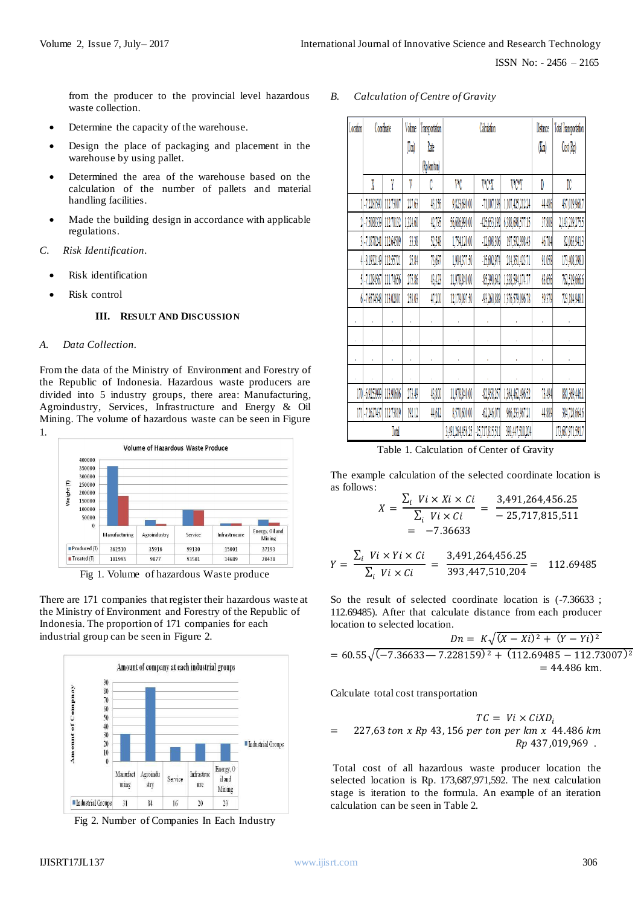from the producer to the provincial level hazardous waste collection.

- Determine the capacity of the warehouse.
- Design the place of packaging and placement in the warehouse by using pallet.
- Determined the area of the warehouse based on the calculation of the number of pallets and material handling facilities.
- Made the building design in accordance with applicable regulations.
- *C. Risk Identification.* 
	- Risk identification
	- Risk control

#### **III. RESULT AND DISCUSSIO N**

### *A. Data Collection.*

From the data of the Ministry of Environment and Forestry of the Republic of Indonesia. Hazardous waste producers are divided into 5 industry groups, there area: Manufacturing, Agroindustry, Services, Infrastructure and Energy & Oil Mining. The volume of hazardous waste can be seen in Figure 1.



Fig 1. Volume of hazardous Waste produce

There are 171 companies that register their hazardous waste at the Ministry of Environment and Forestry of the Republic of Indonesia. The proportion of 171 companies for each industrial group can be seen in Figure 2.



Fig 2. Number of Companies In Each Industry

## *B. Calculation of Centre of Gravity*

| Location |                         | Coordinate | Volume   | Transportation | Calculation      |                |                  | Distance                 | Total Transportation |
|----------|-------------------------|------------|----------|----------------|------------------|----------------|------------------|--------------------------|----------------------|
|          |                         |            | (Ton)    | Rate           |                  |                |                  | $(\mathbb{K}\mathrm{m})$ | Cost (Rp)            |
|          |                         |            |          | (Rp km ton)    |                  |                |                  |                          |                      |
|          | X                       | Y          | V        | C              | VС               | V*C*X          | V*C*Y            | D                        | TC                   |
|          | 1.72281590              | 112.73007  | 221.63   | 43,156         | 9,823,690.00     | 71,007,193     | 1,107,425,212.24 | 44.486                   | 437,019,968.7        |
|          | 2 75088339              | 112.70132  | 1,324.60 | (2, 0)         | 56,686,990.00    | -425,653,192   | 6,388,698,577.15 | 37.808                   | 2,143,239,275.5      |
|          | 3 7 18 7 24 1           | 112,64509  | 33.38    | 52,548         | 1,754,120.00     | $-12,608,306$  | 197,592,998.43   | $4678 +$                 | 82,063,941.3         |
|          | 4 - 8.1932149 112.55721 |            | 25.84    | 13,691         | 1,904,377.50     | $-15,602,974$  | 214,351,423.71   | 91.058                   | 173,408,398.0        |
|          | 5 71284567              | 111.74656  | 275.86   | 43,423         | 11,978,840.00    | -85,390,642    | 1,338,594,174.77 | 63.656                   | 762,519,666.6        |
|          | 6 - 7.6574548           | 113,02801  | 258.03   | 47,200         | 12,179,097.50    | -93,260,889    | 1376,579,096.78  | 59,379                   | 723,184,948.1        |
|          |                         |            |          |                |                  |                |                  |                          |                      |
|          |                         |            |          |                |                  |                |                  |                          |                      |
|          |                         |            |          |                |                  |                |                  |                          |                      |
|          |                         |            |          |                |                  |                |                  |                          |                      |
|          | 170 69253999            | 113.90606  | 273.49   | 43,800         | 11,978,840.00    | 82,958,257     | 1,364,462,496.52 | 73.IQI                   | 880,369,446.1        |
|          | 171 - 7.2627437         | 112.73819  | 192.12   | 44,612         | 8,570,600.00     | $-62,246,071$  | 966,233,967.21   | 44,889                   | 384,728,664.6        |
| Total    |                         |            |          |                | 3,491,264,456.25 | 25,717,815,511 | 393,447,510,204  |                          | 173,687,971,591.7    |

Table 1. Calculation of Center of Gravity

The example calculation of the selected coordinate location is as follows:

$$
X = \frac{\sum_{i} Vi \times Xi \times Ci}{\sum_{i} Vi \times Ci} = \frac{3,491,264,456.25}{-25,717,815,511}
$$
  
= -7.36633

$$
Y = \frac{\sum_{i} Vi \times Yi \times Ci}{\sum_{i} Vi \times Ci} = \frac{3,491,264,456.25}{393,447,510,204} = 112.69485
$$

So the result of selected coordinate location is  $(-7.36633)$ ; 112.69485). After that calculate distance from each producer location to selected location.

$$
Dn = K\sqrt{(X - Xi)^2 + (Y - Yi)^2}
$$
  
= 60.55 $\sqrt{(-7.36633 - 7.228159)^2 + (112.69485 - 112.73007)^2}$   
= 44.486 km.

Calculate total cost transportation

$$
TC = Vi \times CiXD_i
$$
  
= 227,63 ton x Rp 43, 156 per ton per km x 44.486 km  
Rp 437,019,969.

Total cost of all hazardous waste producer location the selected location is Rp. 173,687,971,592. The next calculation stage is iteration to the formula. An example of an iteration calculation can be seen in Table 2.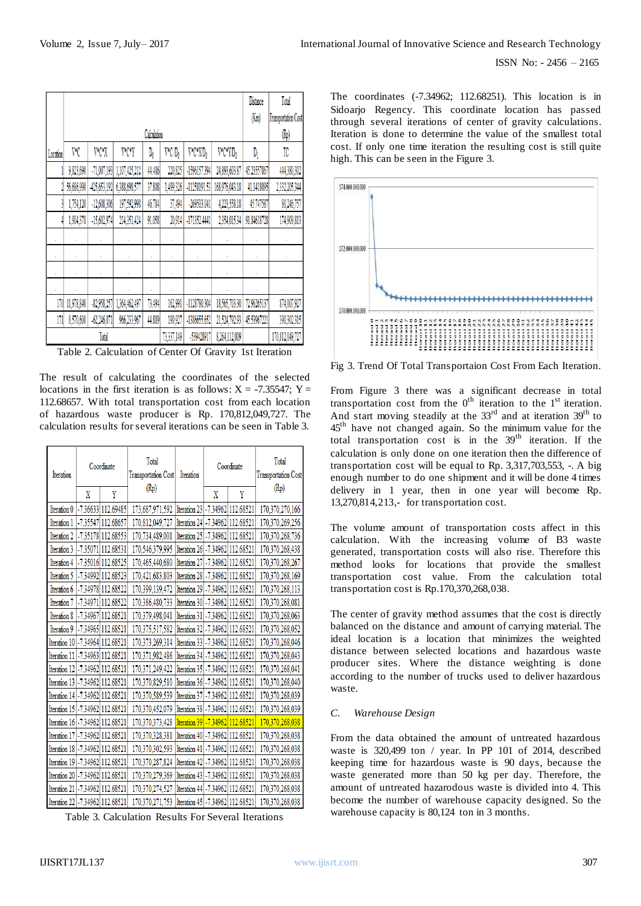|          |            |                | Distance      | Total               |                    |                     |                      |             |                 |
|----------|------------|----------------|---------------|---------------------|--------------------|---------------------|----------------------|-------------|-----------------|
|          |            |                | (Km)          | Transportation Cost |                    |                     |                      |             |                 |
|          |            |                |               | $(\mathbb{R}p)$     |                    |                     |                      |             |                 |
| Location | VС         | V*C*X          | <b>V*C*Y</b>  | D,                  | V*C D <sub>0</sub> | V*C*XD <sub>0</sub> | V*C*Y/D <sub>0</sub> | $D_1$       | TC              |
|          | 9,823,690  | $-71,007,193$  | 1,107,425,212 | 44.486              | 220,825            | -1596157.394        | 24,893,603.87        | 45.23557867 | 444,380,302     |
|          | 56,686,990 | $-425,653,192$ | 6,388,698,577 | 37.808              | 1,499,326          | -11258191.53        | 168,976,043.18       | 41.1418095  | 2,332,205,344   |
|          | 1,754,120  | $-12,608,306$  | 197,592,998   | 46.784              | 37,494             | -269503.041         | 4,223,558.18         | 45.747587   | 80,246,757      |
|          | 1,904,378  | $-15,602,974$  | 214,351,424   | 91.058              | 20,914             | $-171352.4441$      | 2,354,015.34         | 91.84618728 | 174,909,813     |
|          |            |                |               | ï                   | ï                  |                     |                      |             | ×               |
|          | ï          |                | k             | ٠                   | ï                  | ï                   |                      | ×           | $\blacksquare$  |
|          |            |                |               | k                   |                    |                     |                      |             |                 |
|          |            |                |               |                     |                    |                     |                      |             |                 |
| 170      | 11,978,840 | $-82,958,257$  | 1,364,462,497 | 73.494              | 162,991            | -1128780.304        | 18,565,703.30        | 72.96265137 | 874,007,927     |
| 171      | 8,570,600  | $-62,246,071$  | 966,233,961   | 44.889              | 190,927            | $-1386655.652$      | 21,524,792.93        | 45.53967221 | 390,302,315     |
|          |            | Total          |               |                     | 73337,149          | 539428917           | 8,264,112,009        |             | 170,812,049,727 |

Table 2. Calculation of Center Of Gravity 1st Iteration

The result of calculating the coordinates of the selected locations in the first iteration is as follows:  $X = -7.35547$ ;  $Y =$ 112.68657. With total transportation cost from each location of hazardous waste producer is Rp. 170,812,049,727. The calculation results for several iterations can be seen in Table 3.

| Iteration                        |   | Coordinate                       | Total<br>Transportation Cost                           | Iteration                            | Coordinate |   | Total<br><b>Transportation Cost</b> |
|----------------------------------|---|----------------------------------|--------------------------------------------------------|--------------------------------------|------------|---|-------------------------------------|
|                                  | X | Y                                | (Rp)                                                   |                                      | X          | Y | (Rp)                                |
|                                  |   | Iteration 0 -7.36633 112.69485   | 173,687,971,592   Iteration 23   -7.34962   112.68521  |                                      |            |   | 170,370,270,166                     |
| Iteration 1                      |   | -7.35547 112.68657               | 170,812,049,727                                        | Iteration 24 - 7.34962 112.68521     |            |   | 170,370,269,256                     |
| Iteration 2                      |   | -7.35178 112.68553               | 170,734,489,001                                        | Iteration 25 - 7.34962 112.68521     |            |   | 170,370,268,736                     |
| Iteration 3                      |   | -7.35071 112.68531               | 170,546,379,995                                        | Iteration 26 - 7.34962 112.68521     |            |   | 170,370,268,438                     |
| Iteration 4                      |   | -7.35016 112.68525               | 170,465,440,680                                        | Iteration 27 - 7.34962 112.68521     |            |   | 170,370,268,267                     |
| Iteration 5                      |   | -7.34992 112.68523               | 170,421,683,803                                        | Iteration 28 - 7.34962 112.68521     |            |   | 170,370,268,169                     |
| Iteration 6                      |   | -7.34978 112.68522               | 170,399,139,472                                        | Iteration 29 - 7.34962 112.68521     |            |   | 170,370,268,113                     |
| Iteration 7                      |   | -7.34971 112.68522               | 170,386,480,733                                        | Iteration 30 - 7.34962 112.68521     |            |   | 170,370,268,081                     |
| Iteration 8                      |   | -7.34967 112.68521               | 170.379.498.041                                        | Iteration 31 - 7.34962 112.68521     |            |   | 170,370,268,063                     |
| Iteration 9                      |   | -7.34965 112.68521               | 170,375,517,582                                        | Iteration 32 - 7.34962 112.68521     |            |   | 170,370,268,052                     |
| Iteration 10 -7.34964 112.68521  |   |                                  | 170,373,269,314                                        | Iteration 33 - 7.34962 112.68521     |            |   | 170,370,268,046                     |
| Iteration 11                     |   | -7.34963 112.68521               | 170,371,982,486                                        | Iteration 34 - 7.34962 112.68521     |            |   | 170,370,268,043                     |
| Iteration 12 -7.34962 112.68521  |   |                                  | 170,371,249,422                                        | Iteration 35 - 7.34962 112.68521     |            |   | 170,370,268,041                     |
| Iteration 13 - 7.34962 112.68521 |   |                                  | 170,370,829,510                                        | Iteration 36 - 7.34962 112.68521     |            |   | 170,370,268,040                     |
|                                  |   | Iteration 14 - 7.34962 112.68521 | 170,370,589,539                                        | Iteration 37   - 7.34962   112.68521 |            |   | 170,370,268,039                     |
| Iteration 15 - 7.34962 112.68521 |   |                                  | 170,370,452,079                                        | Iteration 38 - 7.34962 112.68521     |            |   | 170,370,268,039                     |
| Iteration 16 -7.34962 112.68521  |   |                                  | 170,370,373,428                                        | Iteration 39 - 7.34962 112.68521     |            |   | 170,370,268,038                     |
| Iteration 17 - 7.34962 112.68521 |   |                                  | 170,370,328,381                                        | Iteration 40 - 7.34962 112.68521     |            |   | 170,370,268,038                     |
| Iteration 18 -7.34962 112.68521  |   |                                  | 170,370,302,593                                        | Iteration 41 - 7.34962 112.68521     |            |   | 170,370,268,038                     |
| Iteration 19 - 7.34962 112.68521 |   |                                  | 170,370,287,824                                        | Iteration 42 - 7.34962 112.68521     |            |   | 170,370,268,038                     |
| Iteration 20 - 7.34962 112.68521 |   |                                  | 170,370,279,369                                        | Iteration 43 - 7.34962 112.68521     |            |   | 170,370,268,038                     |
| Iteration 21 - 7.34962 112.68521 |   |                                  | 170,370,274,527                                        | Iteration 44 - 7.34962 112.68521     |            |   | 170,370,268,038                     |
| Iteration 22 -7.34962 112.68521  |   |                                  | 170,370,271,753   Iteration 45   - 7.34962   112.68521 |                                      |            |   | 170,370,268,038                     |

Table 3. Calculation Results For Several Iterations

The coordinates (-7.34962; 112.68251). This location is in Sidoarjo Regency. This coordinate location has passed through several iterations of center of gravity calculations. Iteration is done to determine the value of the smallest total cost. If only one time iteration the resulting cost is still quite high. This can be seen in the Figure 3.



Fig 3. Trend Of Total Transportaion Cost From Each Iteration.

From Figure 3 there was a significant decrease in total transportation cost from the  $0<sup>th</sup>$  iteration to the  $1<sup>st</sup>$  iteration. And start moving steadily at the  $33<sup>rd</sup>$  and at iteration  $39<sup>th</sup>$  to 45th have not changed again. So the minimum value for the total transportation cost is in the  $39<sup>th</sup>$  iteration. If the calculation is only done on one iteration then the difference of transportation cost will be equal to Rp. 3,317,703,553, -. A big enough number to do one shipment and it will be done 4 times delivery in 1 year, then in one year will become Rp. 13,270,814,213,- for transportation cost.

The volume amount of transportation costs affect in this calculation. With the increasing volume of B3 waste generated, transportation costs will also rise. Therefore this method looks for locations that provide the smallest transportation cost value. From the calculation total transportation cost is Rp.170,370,268,038.

The center of gravity method assumes that the cost is directly balanced on the distance and amount of carrying material. The ideal location is a location that minimizes the weighted distance between selected locations and hazardous waste producer sites. Where the distance weighting is done according to the number of trucks used to deliver hazardous waste.

## *C. Warehouse Design*

From the data obtained the amount of untreated hazardous waste is 320,499 ton / year. In PP 101 of 2014, described keeping time for hazardous waste is 90 days, because the waste generated more than 50 kg per day. Therefore, the amount of untreated hazarodous waste is divided into 4. This become the number of warehouse capacity designed. So the warehouse capacity is 80,124 ton in 3 months.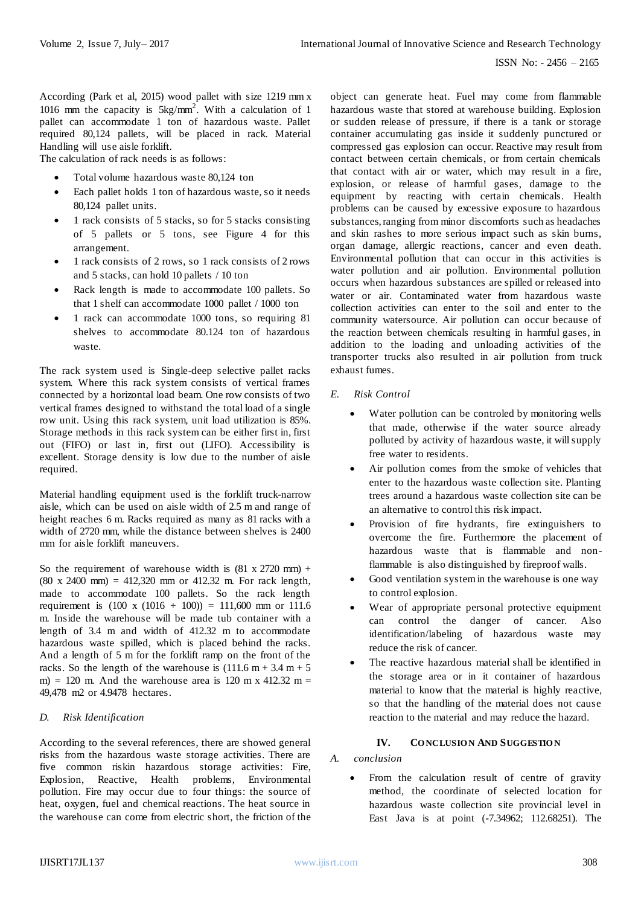According (Park et al, 2015) wood pallet with size 1219 mm x 1016 mm the capacity is 5kg/mm<sup>2</sup> . With a calculation of 1 pallet can accommodate 1 ton of hazardous waste. Pallet required 80,124 pallets, will be placed in rack. Material Handling will use aisle forklift.

The calculation of rack needs is as follows:

- Total volume hazardous waste 80,124 ton
- Each pallet holds 1 ton of hazardous waste, so it needs 80,124 pallet units.
- 1 rack consists of 5 stacks, so for 5 stacks consisting of 5 pallets or 5 tons, see Figure 4 for this arrangement.
- 1 rack consists of 2 rows, so 1 rack consists of 2 rows and 5 stacks, can hold 10 pallets / 10 ton
- Rack length is made to accommodate 100 pallets. So that 1 shelf can accommodate 1000 pallet / 1000 ton
- 1 rack can accommodate 1000 tons, so requiring 81 shelves to accommodate 80.124 ton of hazardous waste.

The rack system used is Single-deep selective pallet racks system. Where this rack system consists of vertical frames connected by a horizontal load beam. One row consists of two vertical frames designed to withstand the total load of a single row unit. Using this rack system, unit load utilization is 85%. Storage methods in this rack system can be either first in, first out (FIFO) or last in, first out (LIFO). Accessibility is excellent. Storage density is low due to the number of aisle required.

Material handling equipment used is the forklift truck-narrow aisle, which can be used on aisle width of 2.5 m and range of height reaches 6 m. Racks required as many as 81 racks with a width of 2720 mm, while the distance between shelves is 2400 mm for aisle forklift maneuvers.

So the requirement of warehouse width is  $(81 \times 2720 \text{ mm})$  + (80 x 2400 mm) = 412,320 mm or 412.32 m. For rack length, made to accommodate 100 pallets. So the rack length requirement is  $(100 \times (1016 + 100)) = 111,600$  mm or 111.6 m. Inside the warehouse will be made tub container with a length of 3.4 m and width of 412.32 m to accommodate hazardous waste spilled, which is placed behind the racks. And a length of 5 m for the forklift ramp on the front of the racks. So the length of the warehouse is  $(111.6 \text{ m} + 3.4 \text{ m} + 5)$ m) = 120 m. And the warehouse area is 120 m x 412.32 m = 49,478 m2 or 4.9478 hectares.

## *D. Risk Identification*

According to the several references, there are showed general risks from the hazardous waste storage activities. There are five common riskin hazardous storage activities: Fire, Explosion, Reactive, Health problems, Environmental pollution. Fire may occur due to four things: the source of heat, oxygen, fuel and chemical reactions. The heat source in the warehouse can come from electric short, the friction of the

object can generate heat. Fuel may come from flammable hazardous waste that stored at warehouse building. Explosion or sudden release of pressure, if there is a tank or storage container accumulating gas inside it suddenly punctured or compressed gas explosion can occur. Reactive may result from contact between certain chemicals, or from certain chemicals that contact with air or water, which may result in a fire, explosion, or release of harmful gases, damage to the equipment by reacting with certain chemicals. Health problems can be caused by excessive exposure to hazardous substances, ranging from minor discomforts such as headaches and skin rashes to more serious impact such as skin burns, organ damage, allergic reactions, cancer and even death. Environmental pollution that can occur in this activities is water pollution and air pollution. Environmental pollution occurs when hazardous substances are spilled or released into water or air. Contaminated water from hazardous waste collection activities can enter to the soil and enter to the community watersource. Air pollution can occur because of the reaction between chemicals resulting in harmful gases, in addition to the loading and unloading activities of the transporter trucks also resulted in air pollution from truck exhaust fumes.

- *E. Risk Control*
	- Water pollution can be controled by monitoring wells that made, otherwise if the water source already polluted by activity of hazardous waste, it will supply free water to residents.
	- Air pollution comes from the smoke of vehicles that enter to the hazardous waste collection site. Planting trees around a hazardous waste collection site can be an alternative to control this risk impact.
	- Provision of fire hydrants, fire extinguishers to overcome the fire. Furthermore the placement of hazardous waste that is flammable and nonflammable is also distinguished by fireproof walls.
	- Good ventilation system in the warehouse is one way to control explosion.
	- Wear of appropriate personal protective equipment can control the danger of cancer. Also identification/labeling of hazardous waste may reduce the risk of cancer.
	- The reactive hazardous material shall be identified in the storage area or in it container of hazardous material to know that the material is highly reactive, so that the handling of the material does not cause reaction to the material and may reduce the hazard.

# **IV. CO NCLUSIO N AND SUGGESTIO N**

# *A. conclusion*

 From the calculation result of centre of gravity method, the coordinate of selected location for hazardous waste collection site provincial level in East Java is at point (-7.34962; 112.68251). The